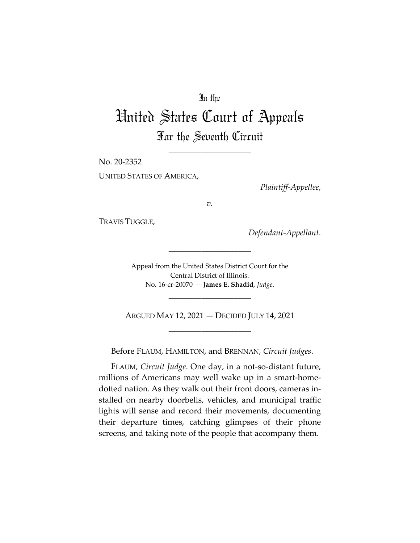# In the

# United States Court of Appeals For the Seventh Circuit

\_\_\_\_\_\_\_\_\_\_\_\_\_\_\_\_\_\_\_\_

No. 20-2352 UNITED STATES OF AMERICA,

*Plaintiff-Appellee*,

*v.*

TRAVIS TUGGLE,

*Defendant-Appellant*.

Appeal from the United States District Court for the Central District of Illinois. No. 16-cr-20070 — **James E. Shadid**, *Judge*.

\_\_\_\_\_\_\_\_\_\_\_\_\_\_\_\_\_\_\_\_

\_\_\_\_\_\_\_\_\_\_\_\_\_\_\_\_\_\_\_\_

ARGUED MAY 12, 2021 — DECIDED JULY 14, 2021 \_\_\_\_\_\_\_\_\_\_\_\_\_\_\_\_\_\_\_\_

Before FLAUM, HAMILTON, and BRENNAN, *Circuit Judges*.

FLAUM, *Circuit Judge*. One day, in a not-so-distant future, millions of Americans may well wake up in a smart-homedotted nation. As they walk out their front doors, cameras installed on nearby doorbells, vehicles, and municipal traffic lights will sense and record their movements, documenting their departure times, catching glimpses of their phone screens, and taking note of the people that accompany them.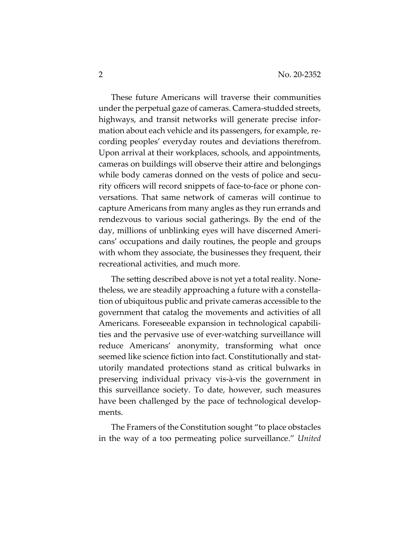These future Americans will traverse their communities under the perpetual gaze of cameras. Camera-studded streets, highways, and transit networks will generate precise information about each vehicle and its passengers, for example, recording peoples' everyday routes and deviations therefrom. Upon arrival at their workplaces, schools, and appointments, cameras on buildings will observe their attire and belongings while body cameras donned on the vests of police and security officers will record snippets of face-to-face or phone conversations. That same network of cameras will continue to capture Americans from many angles as they run errands and rendezvous to various social gatherings. By the end of the day, millions of unblinking eyes will have discerned Americans' occupations and daily routines, the people and groups with whom they associate, the businesses they frequent, their recreational activities, and much more.

The setting described above is not yet a total reality. Nonetheless, we are steadily approaching a future with a constellation of ubiquitous public and private cameras accessible to the government that catalog the movements and activities of all Americans. Foreseeable expansion in technological capabilities and the pervasive use of ever-watching surveillance will reduce Americans' anonymity, transforming what once seemed like science fiction into fact. Constitutionally and statutorily mandated protections stand as critical bulwarks in preserving individual privacy vis-à-vis the government in this surveillance society. To date, however, such measures have been challenged by the pace of technological developments.

The Framers of the Constitution sought "to place obstacles in the way of a too permeating police surveillance." *United*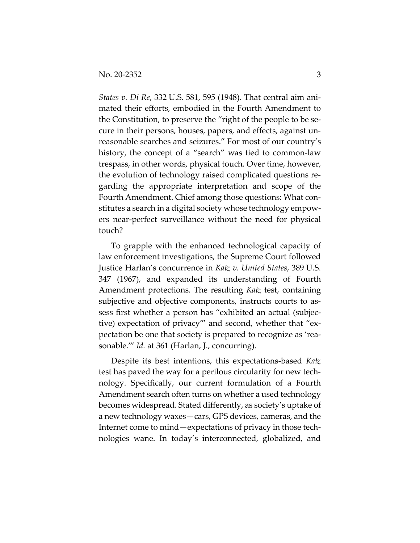*States v. Di Re*, 332 U.S. 581, 595 (1948). That central aim animated their efforts, embodied in the Fourth Amendment to the Constitution, to preserve the "right of the people to be secure in their persons, houses, papers, and effects, against unreasonable searches and seizures." For most of our country's history, the concept of a "search" was tied to common-law trespass, in other words, physical touch. Over time, however, the evolution of technology raised complicated questions regarding the appropriate interpretation and scope of the Fourth Amendment. Chief among those questions: What constitutes a search in a digital society whose technology empowers near-perfect surveillance without the need for physical touch?

To grapple with the enhanced technological capacity of law enforcement investigations, the Supreme Court followed Justice Harlan's concurrence in *Katz v. United States*, 389 U.S. 347 (1967), and expanded its understanding of Fourth Amendment protections. The resulting *Katz* test, containing subjective and objective components, instructs courts to assess first whether a person has "exhibited an actual (subjective) expectation of privacy'" and second, whether that "expectation be one that society is prepared to recognize as 'reasonable.''' *Id.* at 361 (Harlan, J., concurring).

Despite its best intentions, this expectations-based *Katz*  test has paved the way for a perilous circularity for new technology. Specifically, our current formulation of a Fourth Amendment search often turns on whether a used technology becomes widespread. Stated differently, as society's uptake of a new technology waxes—cars, GPS devices, cameras, and the Internet come to mind—expectations of privacy in those technologies wane. In today's interconnected, globalized, and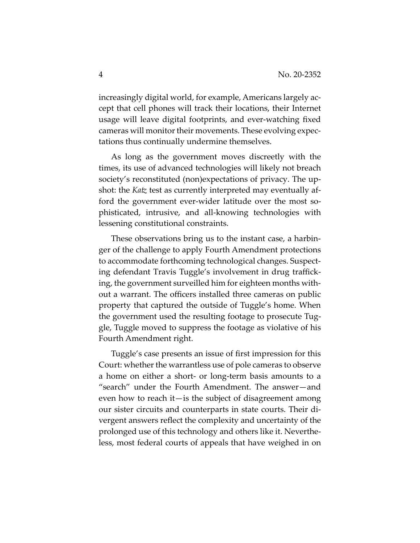increasingly digital world, for example, Americans largely accept that cell phones will track their locations, their Internet usage will leave digital footprints, and ever-watching fixed cameras will monitor their movements. These evolving expectations thus continually undermine themselves.

As long as the government moves discreetly with the times, its use of advanced technologies will likely not breach society's reconstituted (non)expectations of privacy. The upshot: the *Katz* test as currently interpreted may eventually afford the government ever-wider latitude over the most sophisticated, intrusive, and all-knowing technologies with lessening constitutional constraints.

These observations bring us to the instant case, a harbinger of the challenge to apply Fourth Amendment protections to accommodate forthcoming technological changes. Suspecting defendant Travis Tuggle's involvement in drug trafficking, the government surveilled him for eighteen months without a warrant. The officers installed three cameras on public property that captured the outside of Tuggle's home. When the government used the resulting footage to prosecute Tuggle, Tuggle moved to suppress the footage as violative of his Fourth Amendment right.

Tuggle's case presents an issue of first impression for this Court: whether the warrantless use of pole cameras to observe a home on either a short- or long-term basis amounts to a "search" under the Fourth Amendment. The answer—and even how to reach it—is the subject of disagreement among our sister circuits and counterparts in state courts. Their divergent answers reflect the complexity and uncertainty of the prolonged use of this technology and others like it. Nevertheless, most federal courts of appeals that have weighed in on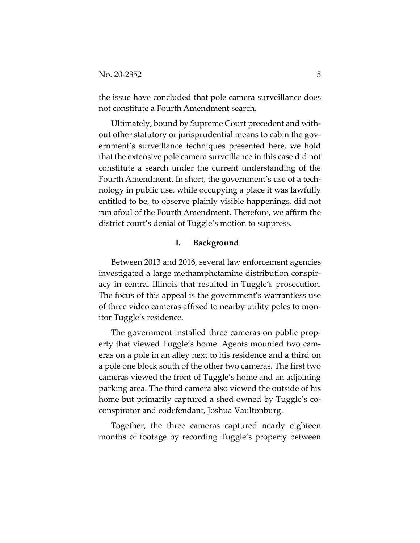the issue have concluded that pole camera surveillance does not constitute a Fourth Amendment search.

Ultimately, bound by Supreme Court precedent and without other statutory or jurisprudential means to cabin the government's surveillance techniques presented here, we hold that the extensive pole camera surveillance in this case did not constitute a search under the current understanding of the Fourth Amendment. In short, the government's use of a technology in public use, while occupying a place it was lawfully entitled to be, to observe plainly visible happenings, did not run afoul of the Fourth Amendment. Therefore, we affirm the district court's denial of Tuggle's motion to suppress.

## **I. Background**

Between 2013 and 2016, several law enforcement agencies investigated a large methamphetamine distribution conspiracy in central Illinois that resulted in Tuggle's prosecution. The focus of this appeal is the government's warrantless use of three video cameras affixed to nearby utility poles to monitor Tuggle's residence.

The government installed three cameras on public property that viewed Tuggle's home. Agents mounted two cameras on a pole in an alley next to his residence and a third on a pole one block south of the other two cameras. The first two cameras viewed the front of Tuggle's home and an adjoining parking area. The third camera also viewed the outside of his home but primarily captured a shed owned by Tuggle's coconspirator and codefendant, Joshua Vaultonburg.

Together, the three cameras captured nearly eighteen months of footage by recording Tuggle's property between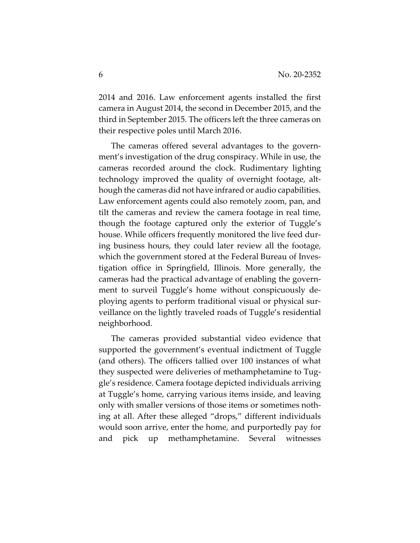2014 and 2016. Law enforcement agents installed the first camera in August 2014, the second in December 2015, and the third in September 2015. The officers left the three cameras on their respective poles until March 2016.

The cameras offered several advantages to the government's investigation of the drug conspiracy. While in use, the cameras recorded around the clock. Rudimentary lighting technology improved the quality of overnight footage, although the cameras did not have infrared or audio capabilities. Law enforcement agents could also remotely zoom, pan, and tilt the cameras and review the camera footage in real time, though the footage captured only the exterior of Tuggle's house. While officers frequently monitored the live feed during business hours, they could later review all the footage, which the government stored at the Federal Bureau of Investigation office in Springfield, Illinois. More generally, the cameras had the practical advantage of enabling the government to surveil Tuggle's home without conspicuously deploying agents to perform traditional visual or physical surveillance on the lightly traveled roads of Tuggle's residential neighborhood.

The cameras provided substantial video evidence that supported the government's eventual indictment of Tuggle (and others). The officers tallied over 100 instances of what they suspected were deliveries of methamphetamine to Tuggle's residence. Camera footage depicted individuals arriving at Tuggle's home, carrying various items inside, and leaving only with smaller versions of those items or sometimes nothing at all. After these alleged "drops," different individuals would soon arrive, enter the home, and purportedly pay for and pick up methamphetamine. Several witnesses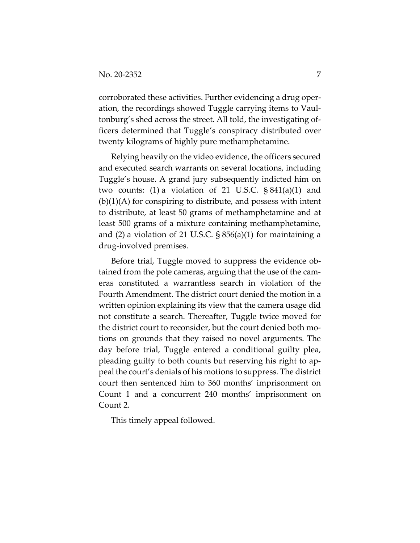corroborated these activities. Further evidencing a drug operation, the recordings showed Tuggle carrying items to Vaultonburg's shed across the street. All told, the investigating officers determined that Tuggle's conspiracy distributed over twenty kilograms of highly pure methamphetamine.

Relying heavily on the video evidence, the officers secured and executed search warrants on several locations, including Tuggle's house. A grand jury subsequently indicted him on two counts:  $(1)$  a violation of 21 U.S.C.  $\S 841(a)(1)$  and  $(b)(1)(A)$  for conspiring to distribute, and possess with intent to distribute, at least 50 grams of methamphetamine and at least 500 grams of a mixture containing methamphetamine, and (2) a violation of 21 U.S.C. § 856(a)(1) for maintaining a drug-involved premises.

Before trial, Tuggle moved to suppress the evidence obtained from the pole cameras, arguing that the use of the cameras constituted a warrantless search in violation of the Fourth Amendment. The district court denied the motion in a written opinion explaining its view that the camera usage did not constitute a search. Thereafter, Tuggle twice moved for the district court to reconsider, but the court denied both motions on grounds that they raised no novel arguments. The day before trial, Tuggle entered a conditional guilty plea, pleading guilty to both counts but reserving his right to appeal the court's denials of his motions to suppress. The district court then sentenced him to 360 months' imprisonment on Count 1 and a concurrent 240 months' imprisonment on Count 2.

This timely appeal followed.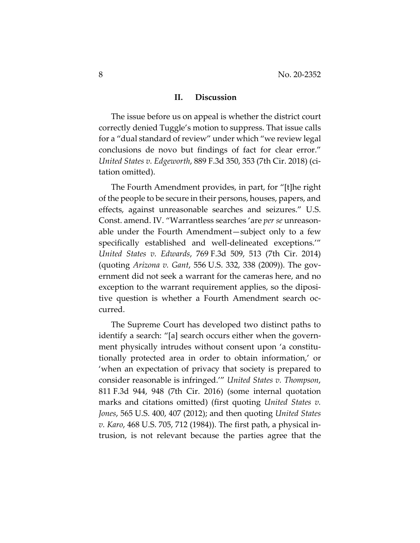## **II. Discussion**

The issue before us on appeal is whether the district court correctly denied Tuggle's motion to suppress. That issue calls for a "dual standard of review" under which "we review legal conclusions de novo but findings of fact for clear error." *United States v. Edgeworth*, 889 F.3d 350, 353 (7th Cir. 2018) (citation omitted).

The Fourth Amendment provides, in part, for "[t]he right of the people to be secure in their persons, houses, papers, and effects, against unreasonable searches and seizures." U.S. Const. amend. IV. "Warrantless searches 'are *per se* unreasonable under the Fourth Amendment—subject only to a few specifically established and well-delineated exceptions.'" *United States v. Edwards*, 769 F.3d 509, 513 (7th Cir. 2014) (quoting *Arizona v. Gant*, 556 U.S. 332, 338 (2009)). The government did not seek a warrant for the cameras here, and no exception to the warrant requirement applies, so the dipositive question is whether a Fourth Amendment search occurred.

The Supreme Court has developed two distinct paths to identify a search: "[a] search occurs either when the government physically intrudes without consent upon 'a constitutionally protected area in order to obtain information,' or 'when an expectation of privacy that society is prepared to consider reasonable is infringed.'" *United States v. Thompson*, 811 F.3d 944, 948 (7th Cir. 2016) (some internal quotation marks and citations omitted) (first quoting *United States v. Jones*, 565 U.S. 400, 407 (2012); and then quoting *United States v. Karo*, 468 U.S. 705, 712 (1984)). The first path, a physical intrusion, is not relevant because the parties agree that the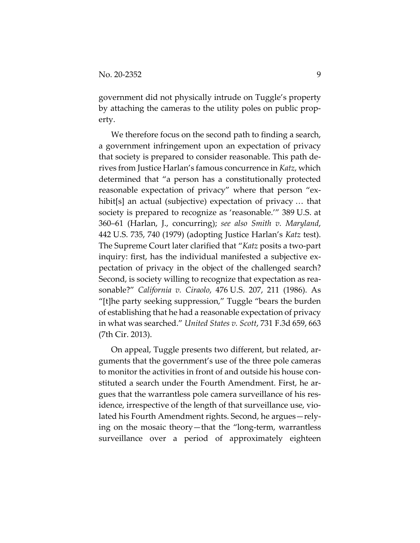government did not physically intrude on Tuggle's property by attaching the cameras to the utility poles on public property.

We therefore focus on the second path to finding a search, a government infringement upon an expectation of privacy that society is prepared to consider reasonable. This path derives from Justice Harlan's famous concurrence in *Katz*, which determined that "a person has a constitutionally protected reasonable expectation of privacy" where that person "exhibit[s] an actual (subjective) expectation of privacy ... that society is prepared to recognize as 'reasonable.'" 389 U.S. at 360–61 (Harlan, J., concurring); *see also Smith v. Maryland*, 442 U.S. 735, 740 (1979) (adopting Justice Harlan's *Katz* test). The Supreme Court later clarified that "*Katz* posits a two-part inquiry: first, has the individual manifested a subjective expectation of privacy in the object of the challenged search? Second, is society willing to recognize that expectation as reasonable?" *California v. Ciraolo*, 476 U.S. 207, 211 (1986). As "[t]he party seeking suppression," Tuggle "bears the burden of establishing that he had a reasonable expectation of privacy in what was searched." *United States v. Scott*, 731 F.3d 659, 663 (7th Cir. 2013).

On appeal, Tuggle presents two different, but related, arguments that the government's use of the three pole cameras to monitor the activities in front of and outside his house constituted a search under the Fourth Amendment. First, he argues that the warrantless pole camera surveillance of his residence, irrespective of the length of that surveillance use, violated his Fourth Amendment rights. Second, he argues—relying on the mosaic theory—that the "long-term, warrantless surveillance over a period of approximately eighteen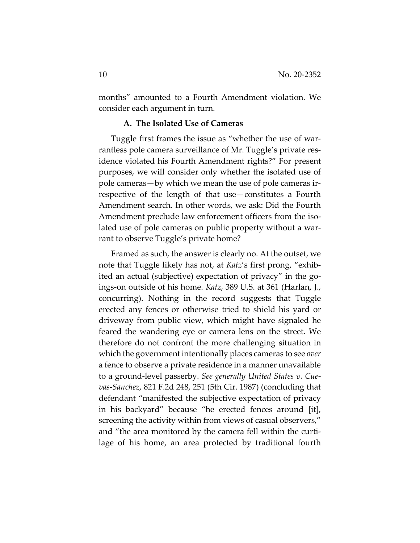months" amounted to a Fourth Amendment violation. We consider each argument in turn.

## **A. The Isolated Use of Cameras**

Tuggle first frames the issue as "whether the use of warrantless pole camera surveillance of Mr. Tuggle's private residence violated his Fourth Amendment rights?" For present purposes, we will consider only whether the isolated use of pole cameras—by which we mean the use of pole cameras irrespective of the length of that use—constitutes a Fourth Amendment search. In other words, we ask: Did the Fourth Amendment preclude law enforcement officers from the isolated use of pole cameras on public property without a warrant to observe Tuggle's private home?

Framed as such, the answer is clearly no. At the outset, we note that Tuggle likely has not, at *Katz*'s first prong, "exhibited an actual (subjective) expectation of privacy" in the goings-on outside of his home. *Katz*, 389 U.S. at 361 (Harlan, J., concurring). Nothing in the record suggests that Tuggle erected any fences or otherwise tried to shield his yard or driveway from public view, which might have signaled he feared the wandering eye or camera lens on the street. We therefore do not confront the more challenging situation in which the government intentionally places cameras to see *over* a fence to observe a private residence in a manner unavailable to a ground-level passerby. *See generally United States v. Cuevas-Sanchez*, 821 F.2d 248, 251 (5th Cir. 1987) (concluding that defendant "manifested the subjective expectation of privacy in his backyard" because "he erected fences around [it], screening the activity within from views of casual observers," and "the area monitored by the camera fell within the curtilage of his home, an area protected by traditional fourth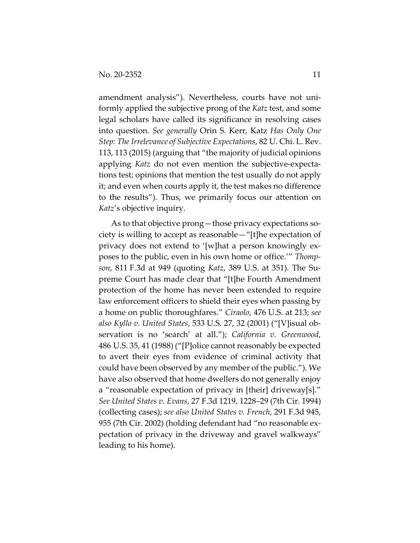amendment analysis"). Nevertheless, courts have not uniformly applied the subjective prong of the *Katz* test, and some legal scholars have called its significance in resolving cases into question. *See generally* Orin S. Kerr, Katz *Has Only One Step: The Irrelevance of Subjective Expectations*, 82 U. Chi. L. Rev. 113, 113 (2015) (arguing that "the majority of judicial opinions applying *Katz* do not even mention the subjective-expectations test; opinions that mention the test usually do not apply it; and even when courts apply it, the test makes no difference to the results"). Thus, we primarily focus our attention on *Katz*'s objective inquiry.

As to that objective prong—those privacy expectations society is willing to accept as reasonable—"[t]he expectation of privacy does not extend to '[w]hat a person knowingly exposes to the public, even in his own home or office.'" *Thompson*, 811 F.3d at 949 (quoting *Katz*, 389 U.S. at 351). The Supreme Court has made clear that "[t]he Fourth Amendment protection of the home has never been extended to require law enforcement officers to shield their eyes when passing by a home on public thoroughfares." *Ciraolo*, 476 U.S. at 213; *see also Kyllo v. United States*, 533 U.S. 27, 32 (2001) ("[V]isual observation is no 'search' at all."); *California v. Greenwood*, 486 U.S. 35, 41 (1988) ("[P]olice cannot reasonably be expected to avert their eyes from evidence of criminal activity that could have been observed by any member of the public."). We have also observed that home dwellers do not generally enjoy a "reasonable expectation of privacy in [their] driveway[s]." *See United States v. Evans*, 27 F.3d 1219, 1228–29 (7th Cir. 1994) (collecting cases); *see also United States v. French*, 291 F.3d 945, 955 (7th Cir. 2002) (holding defendant had "no reasonable expectation of privacy in the driveway and gravel walkways" leading to his home).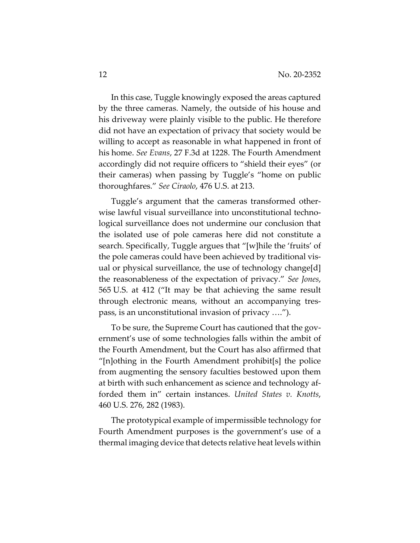In this case, Tuggle knowingly exposed the areas captured by the three cameras. Namely, the outside of his house and his driveway were plainly visible to the public. He therefore did not have an expectation of privacy that society would be willing to accept as reasonable in what happened in front of his home. *See Evans*, 27 F.3d at 1228. The Fourth Amendment accordingly did not require officers to "shield their eyes" (or their cameras) when passing by Tuggle's "home on public thoroughfares." *See Ciraolo*, 476 U.S. at 213.

Tuggle's argument that the cameras transformed otherwise lawful visual surveillance into unconstitutional technological surveillance does not undermine our conclusion that the isolated use of pole cameras here did not constitute a search. Specifically, Tuggle argues that "[w]hile the 'fruits' of the pole cameras could have been achieved by traditional visual or physical surveillance, the use of technology change[d] the reasonableness of the expectation of privacy." *See Jones*, 565 U.S. at 412 ("It may be that achieving the same result through electronic means, without an accompanying trespass, is an unconstitutional invasion of privacy ….").

To be sure, the Supreme Court has cautioned that the government's use of some technologies falls within the ambit of the Fourth Amendment, but the Court has also affirmed that "[n]othing in the Fourth Amendment prohibit[s] the police from augmenting the sensory faculties bestowed upon them at birth with such enhancement as science and technology afforded them in" certain instances. *United States v. Knotts*, 460 U.S. 276, 282 (1983).

The prototypical example of impermissible technology for Fourth Amendment purposes is the government's use of a thermal imaging device that detects relative heat levels within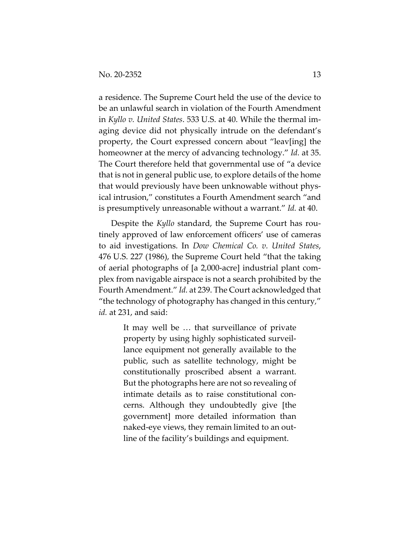a residence. The Supreme Court held the use of the device to be an unlawful search in violation of the Fourth Amendment in *Kyllo v. United States*. 533 U.S. at 40. While the thermal imaging device did not physically intrude on the defendant's property, the Court expressed concern about "leav[ing] the homeowner at the mercy of advancing technology." *Id.* at 35. The Court therefore held that governmental use of "a device that is not in general public use, to explore details of the home that would previously have been unknowable without physical intrusion," constitutes a Fourth Amendment search "and is presumptively unreasonable without a warrant." *Id.* at 40.

Despite the *Kyllo* standard, the Supreme Court has routinely approved of law enforcement officers' use of cameras to aid investigations. In *Dow Chemical Co. v. United States*, 476 U.S. 227 (1986), the Supreme Court held "that the taking of aerial photographs of [a 2,000-acre] industrial plant complex from navigable airspace is not a search prohibited by the Fourth Amendment." *Id.* at 239. The Court acknowledged that "the technology of photography has changed in this century*,*" *id.* at 231, and said:

> It may well be … that surveillance of private property by using highly sophisticated surveillance equipment not generally available to the public, such as satellite technology, might be constitutionally proscribed absent a warrant. But the photographs here are not so revealing of intimate details as to raise constitutional concerns. Although they undoubtedly give [the government] more detailed information than naked-eye views, they remain limited to an outline of the facility's buildings and equipment.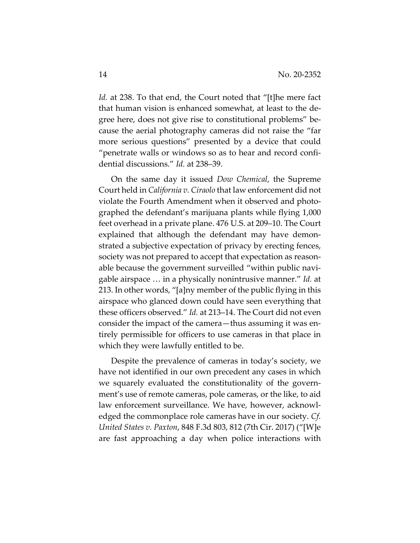Id. at 238. To that end, the Court noted that "[t]he mere fact that human vision is enhanced somewhat, at least to the degree here, does not give rise to constitutional problems" because the aerial photography cameras did not raise the "far more serious questions" presented by a device that could "penetrate walls or windows so as to hear and record confidential discussions." *Id.* at 238–39.

On the same day it issued *Dow Chemical*, the Supreme Court held in *California v. Ciraolo* that law enforcement did not violate the Fourth Amendment when it observed and photographed the defendant's marijuana plants while flying 1,000 feet overhead in a private plane. 476 U.S. at 209–10. The Court explained that although the defendant may have demonstrated a subjective expectation of privacy by erecting fences, society was not prepared to accept that expectation as reasonable because the government surveilled "within public navigable airspace … in a physically nonintrusive manner." *Id.* at 213. In other words, "[a]ny member of the public flying in this airspace who glanced down could have seen everything that these officers observed." *Id.* at 213–14. The Court did not even consider the impact of the camera—thus assuming it was entirely permissible for officers to use cameras in that place in which they were lawfully entitled to be.

Despite the prevalence of cameras in today's society, we have not identified in our own precedent any cases in which we squarely evaluated the constitutionality of the government's use of remote cameras, pole cameras, or the like, to aid law enforcement surveillance. We have, however, acknowledged the commonplace role cameras have in our society. *Cf. United States v. Paxton*, 848 F.3d 803, 812 (7th Cir. 2017) ("[W]e are fast approaching a day when police interactions with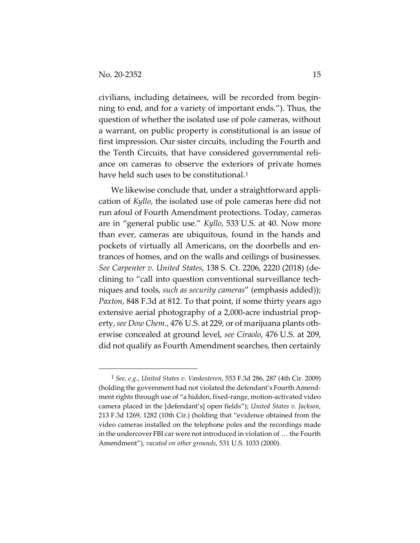civilians, including detainees, will be recorded from beginning to end, and for a variety of important ends."). Thus, the question of whether the isolated use of pole cameras, without a warrant, on public property is constitutional is an issue of first impression. Our sister circuits, including the Fourth and the Tenth Circuits, that have considered governmental reliance on cameras to observe the exteriors of private homes have held such uses to be constitutional.<sup>1</sup>

We likewise conclude that, under a straightforward application of *Kyllo*, the isolated use of pole cameras here did not run afoul of Fourth Amendment protections. Today, cameras are in "general public use." *Kyllo*, 533 U.S. at 40. Now more than ever, cameras are ubiquitous, found in the hands and pockets of virtually all Americans, on the doorbells and entrances of homes, and on the walls and ceilings of businesses. *See Carpenter v. United States*, 138 S. Ct. 2206, 2220 (2018) (declining to "call into question conventional surveillance techniques and tools, *such as security cameras*" (emphasis added)); *Paxton*, 848 F.3d at 812. To that point, if some thirty years ago extensive aerial photography of a 2,000-acre industrial property, *see Dow Chem.*, 476 U.S. at 229, or of marijuana plants otherwise concealed at ground level, *see Ciraolo*, 476 U.S. at 209, did not qualify as Fourth Amendment searches, then certainly

<sup>1</sup> *See, e.g.*, *United States v. Vankesteren*, 553 F.3d 286, 287 (4th Cir. 2009) (holding the government had not violated the defendant's Fourth Amendment rights through use of "a hidden, fixed-range, motion-activated video camera placed in the [defendant's] open fields"); *United States v. Jackson*, 213 F.3d 1269, 1282 (10th Cir.) (holding that "evidence obtained from the video cameras installed on the telephone poles and the recordings made in the undercover FBI car were not introduced in violation of … the Fourth Amendment"), *vacated on other grounds*, 531 U.S. 1033 (2000).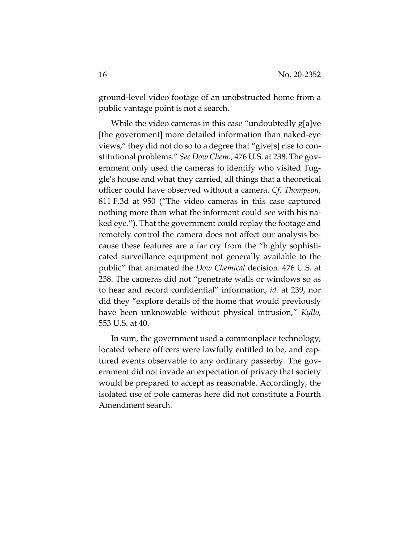ground-level video footage of an unobstructed home from a public vantage point is not a search.

While the video cameras in this case "undoubtedly g[a]ve [the government] more detailed information than naked-eye views," they did not do so to a degree that "give[s] rise to constitutional problems." *See Dow Chem.*, 476 U.S. at 238. The government only used the cameras to identify who visited Tuggle's house and what they carried, all things that a theoretical officer could have observed without a camera. *Cf. Thompson*, 811 F.3d at 950 ("The video cameras in this case captured nothing more than what the informant could see with his naked eye."). That the government could replay the footage and remotely control the camera does not affect our analysis because these features are a far cry from the "highly sophisticated surveillance equipment not generally available to the public" that animated the *Dow Chemical* decision. 476 U.S. at 238. The cameras did not "penetrate walls or windows so as to hear and record confidential" information, *id.* at 239, nor did they "explore details of the home that would previously have been unknowable without physical intrusion," *Kyllo*, 553 U.S. at 40.

In sum, the government used a commonplace technology, located where officers were lawfully entitled to be, and captured events observable to any ordinary passerby. The government did not invade an expectation of privacy that society would be prepared to accept as reasonable. Accordingly, the isolated use of pole cameras here did not constitute a Fourth Amendment search.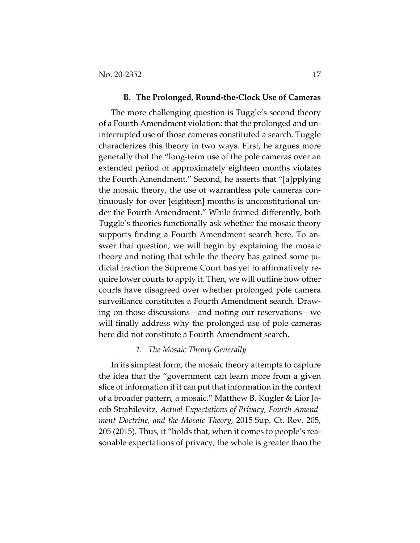#### **B. The Prolonged, Round-the-Clock Use of Cameras**

The more challenging question is Tuggle's second theory of a Fourth Amendment violation: that the prolonged and uninterrupted use of those cameras constituted a search. Tuggle characterizes this theory in two ways. First, he argues more generally that the "long-term use of the pole cameras over an extended period of approximately eighteen months violates the Fourth Amendment." Second, he asserts that "[a]pplying the mosaic theory, the use of warrantless pole cameras continuously for over [eighteen] months is unconstitutional under the Fourth Amendment." While framed differently, both Tuggle's theories functionally ask whether the mosaic theory supports finding a Fourth Amendment search here. To answer that question, we will begin by explaining the mosaic theory and noting that while the theory has gained some judicial traction the Supreme Court has yet to affirmatively require lower courts to apply it. Then, we will outline how other courts have disagreed over whether prolonged pole camera surveillance constitutes a Fourth Amendment search. Drawing on those discussions—and noting our reservations—we will finally address why the prolonged use of pole cameras here did not constitute a Fourth Amendment search.

#### *1. The Mosaic Theory Generally*

In its simplest form, the mosaic theory attempts to capture the idea that the "government can learn more from a given slice of information if it can put that information in the context of a broader pattern, a mosaic." Matthew B. Kugler & Lior Jacob Strahilevitz, *Actual Expectations of Privacy, Fourth Amendment Doctrine, and the Mosaic Theory*, 2015 Sup. Ct. Rev. 205, 205 (2015). Thus, it "holds that, when it comes to people's reasonable expectations of privacy, the whole is greater than the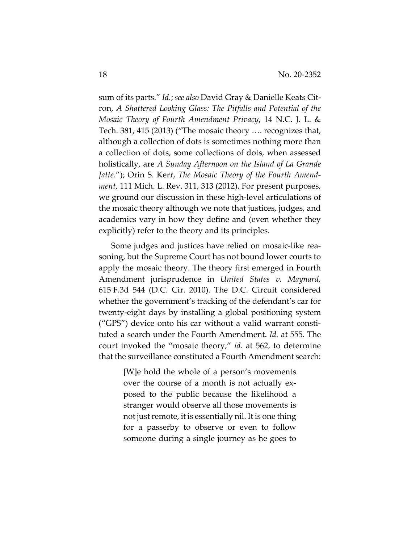sum of its parts." *Id.*; *see also* David Gray & Danielle Keats Citron, *A Shattered Looking Glass: The Pitfalls and Potential of the Mosaic Theory of Fourth Amendment Privacy*, 14 N.C. J. L. & Tech. 381, 415 (2013) ("The mosaic theory …. recognizes that, although a collection of dots is sometimes nothing more than a collection of dots, some collections of dots, when assessed holistically, are *A Sunday Afternoon on the Island of La Grande Jatte*."); Orin S. Kerr, *The Mosaic Theory of the Fourth Amendment*, 111 Mich. L. Rev. 311, 313 (2012). For present purposes, we ground our discussion in these high-level articulations of the mosaic theory although we note that justices, judges, and academics vary in how they define and (even whether they explicitly) refer to the theory and its principles.

Some judges and justices have relied on mosaic-like reasoning, but the Supreme Court has not bound lower courts to apply the mosaic theory. The theory first emerged in Fourth Amendment jurisprudence in *United States v. Maynard*, 615 F.3d 544 (D.C. Cir. 2010). The D.C. Circuit considered whether the government's tracking of the defendant's car for twenty-eight days by installing a global positioning system ("GPS") device onto his car without a valid warrant constituted a search under the Fourth Amendment. *Id.* at 555. The court invoked the "mosaic theory," *id.* at 562, to determine that the surveillance constituted a Fourth Amendment search:

> [W]e hold the whole of a person's movements over the course of a month is not actually exposed to the public because the likelihood a stranger would observe all those movements is not just remote, it is essentially nil. It is one thing for a passerby to observe or even to follow someone during a single journey as he goes to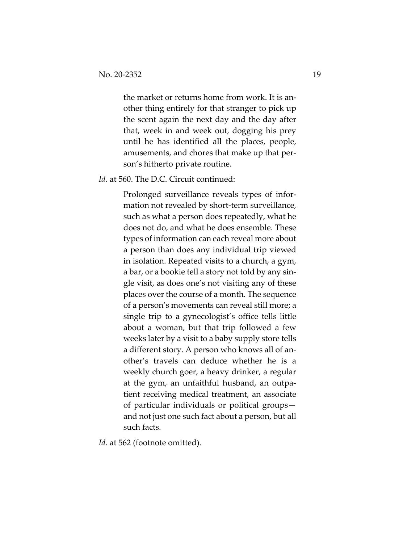the market or returns home from work. It is another thing entirely for that stranger to pick up the scent again the next day and the day after that, week in and week out, dogging his prey until he has identified all the places, people, amusements, and chores that make up that person's hitherto private routine.

*Id.* at 560. The D.C. Circuit continued:

Prolonged surveillance reveals types of information not revealed by short-term surveillance, such as what a person does repeatedly, what he does not do, and what he does ensemble. These types of information can each reveal more about a person than does any individual trip viewed in isolation. Repeated visits to a church, a gym, a bar, or a bookie tell a story not told by any single visit, as does one's not visiting any of these places over the course of a month. The sequence of a person's movements can reveal still more; a single trip to a gynecologist's office tells little about a woman, but that trip followed a few weeks later by a visit to a baby supply store tells a different story. A person who knows all of another's travels can deduce whether he is a weekly church goer, a heavy drinker, a regular at the gym, an unfaithful husband, an outpatient receiving medical treatment, an associate of particular individuals or political groups and not just one such fact about a person, but all such facts.

Id. at 562 (footnote omitted).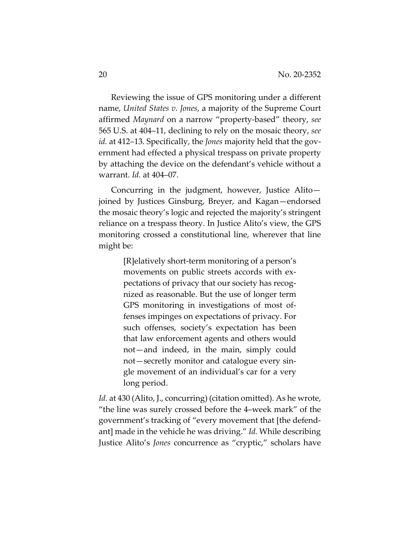Reviewing the issue of GPS monitoring under a different name, *United States v. Jones*, a majority of the Supreme Court affirmed *Maynard* on a narrow "property-based" theory, *see*  565 U.S. at 404–11, declining to rely on the mosaic theory, *see id.* at 412–13*.* Specifically, the *Jones* majority held that the government had effected a physical trespass on private property by attaching the device on the defendant's vehicle without a warrant. *Id.* at 404–07.

Concurring in the judgment, however, Justice Alito joined by Justices Ginsburg, Breyer, and Kagan—endorsed the mosaic theory's logic and rejected the majority's stringent reliance on a trespass theory. In Justice Alito's view, the GPS monitoring crossed a constitutional line, wherever that line might be:

> [R]elatively short-term monitoring of a person's movements on public streets accords with expectations of privacy that our society has recognized as reasonable. But the use of longer term GPS monitoring in investigations of most offenses impinges on expectations of privacy. For such offenses, society's expectation has been that law enforcement agents and others would not—and indeed, in the main, simply could not—secretly monitor and catalogue every single movement of an individual's car for a very long period.

*Id.* at 430 (Alito, J., concurring) (citation omitted). As he wrote, "the line was surely crossed before the 4–week mark" of the government's tracking of "every movement that [the defendant] made in the vehicle he was driving." *Id.* While describing Justice Alito's *Jones* concurrence as "cryptic," scholars have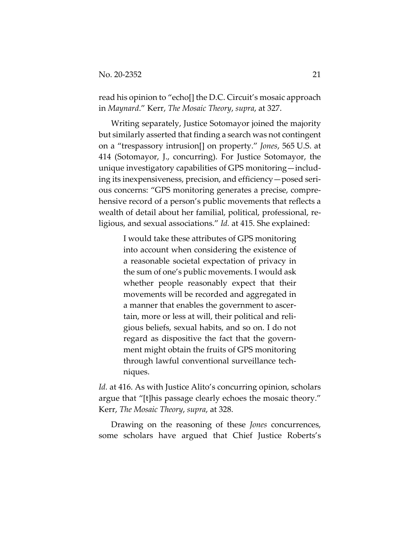read his opinion to "echo[] the D.C. Circuit's mosaic approach in *Maynard*." Kerr, *The Mosaic Theory*, *supra*, at 327.

Writing separately, Justice Sotomayor joined the majority but similarly asserted that finding a search was not contingent on a "trespassory intrusion[] on property." *Jones*, 565 U.S. at 414 (Sotomayor, J., concurring). For Justice Sotomayor, the unique investigatory capabilities of GPS monitoring—including its inexpensiveness, precision, and efficiency—posed serious concerns: "GPS monitoring generates a precise, comprehensive record of a person's public movements that reflects a wealth of detail about her familial, political, professional, religious, and sexual associations." *Id.* at 415. She explained:

> I would take these attributes of GPS monitoring into account when considering the existence of a reasonable societal expectation of privacy in the sum of one's public movements. I would ask whether people reasonably expect that their movements will be recorded and aggregated in a manner that enables the government to ascertain, more or less at will, their political and religious beliefs, sexual habits, and so on. I do not regard as dispositive the fact that the government might obtain the fruits of GPS monitoring through lawful conventional surveillance techniques.

*Id.* at 416. As with Justice Alito's concurring opinion, scholars argue that "[t]his passage clearly echoes the mosaic theory." Kerr, *The Mosaic Theory*, *supra*, at 328.

Drawing on the reasoning of these *Jones* concurrences, some scholars have argued that Chief Justice Roberts's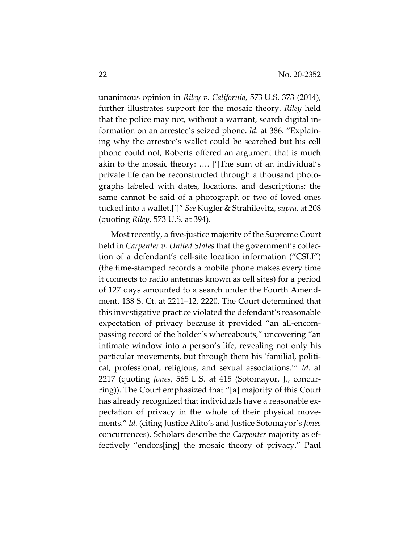unanimous opinion in *Riley v. California*, 573 U.S. 373 (2014), further illustrates support for the mosaic theory. *Riley* held that the police may not, without a warrant, search digital information on an arrestee's seized phone. *Id.* at 386. "Explaining why the arrestee's wallet could be searched but his cell phone could not, Roberts offered an argument that is much akin to the mosaic theory: …. [']The sum of an individual's private life can be reconstructed through a thousand photographs labeled with dates, locations, and descriptions; the same cannot be said of a photograph or two of loved ones tucked into a wallet.[']" *See* Kugler & Strahilevitz, *supra*, at 208 (quoting *Riley*, 573 U.S. at 394).

Most recently, a five-justice majority of the Supreme Court held in *Carpenter v. United States* that the government's collection of a defendant's cell-site location information ("CSLI") (the time-stamped records a mobile phone makes every time it connects to radio antennas known as cell sites) for a period of 127 days amounted to a search under the Fourth Amendment. 138 S. Ct. at 2211–12, 2220. The Court determined that this investigative practice violated the defendant's reasonable expectation of privacy because it provided "an all-encompassing record of the holder's whereabouts," uncovering "an intimate window into a person's life, revealing not only his particular movements, but through them his 'familial, political, professional, religious, and sexual associations.'" *Id.* at 2217 (quoting *Jones*, 565 U.S. at 415 (Sotomayor, J., concurring)). The Court emphasized that "[a] majority of this Court has already recognized that individuals have a reasonable expectation of privacy in the whole of their physical movements." *Id.* (citing Justice Alito's and Justice Sotomayor's *Jones* concurrences). Scholars describe the *Carpenter* majority as effectively "endors[ing] the mosaic theory of privacy." Paul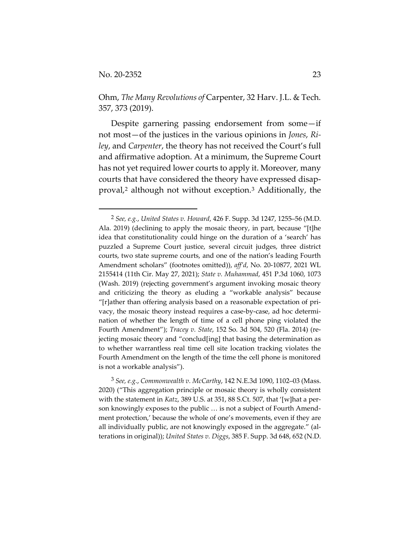Ohm, *The Many Revolutions of* Carpenter, 32 Harv. J.L. & Tech. 357, 373 (2019).

Despite garnering passing endorsement from some—if not most—of the justices in the various opinions in *Jones*, *Riley*, and *Carpenter*, the theory has not received the Court's full and affirmative adoption. At a minimum, the Supreme Court has not yet required lower courts to apply it. Moreover, many courts that have considered the theory have expressed disapproval,2 although not without exception.3 Additionally, the

3 *See, e.g.*, *Commonwealth v. McCarthy*, 142 N.E.3d 1090, 1102–03 (Mass. 2020) ("This aggregation principle or mosaic theory is wholly consistent with the statement in *Katz*, 389 U.S. at 351, 88 S.Ct. 507, that '[w]hat a person knowingly exposes to the public … is not a subject of Fourth Amendment protection,' because the whole of one's movements, even if they are all individually public, are not knowingly exposed in the aggregate." (alterations in original)); *United States v. Diggs*, 385 F. Supp. 3d 648, 652 (N.D.

<sup>2</sup> *See, e.g.*, *United States v. Howard*, 426 F. Supp. 3d 1247, 1255–56 (M.D. Ala. 2019) (declining to apply the mosaic theory, in part, because "[t]he idea that constitutionality could hinge on the duration of a 'search' has puzzled a Supreme Court justice, several circuit judges, three district courts, two state supreme courts, and one of the nation's leading Fourth Amendment scholars" (footnotes omitted)), *aff'd*, No. 20-10877, 2021 WL 2155414 (11th Cir. May 27, 2021); *State v. Muhammad*, 451 P.3d 1060, 1073 (Wash. 2019) (rejecting government's argument invoking mosaic theory and criticizing the theory as eluding a "workable analysis" because "[r]ather than offering analysis based on a reasonable expectation of privacy, the mosaic theory instead requires a case-by-case, ad hoc determination of whether the length of time of a cell phone ping violated the Fourth Amendment"); *Tracey v. State*, 152 So. 3d 504, 520 (Fla. 2014) (rejecting mosaic theory and "conclud[ing] that basing the determination as to whether warrantless real time cell site location tracking violates the Fourth Amendment on the length of the time the cell phone is monitored is not a workable analysis").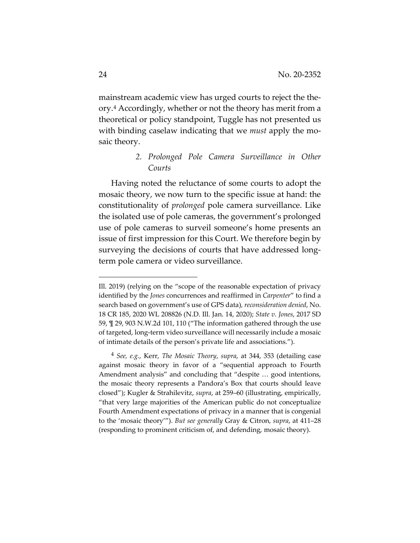mainstream academic view has urged courts to reject the theory.4 Accordingly, whether or not the theory has merit from a theoretical or policy standpoint, Tuggle has not presented us with binding caselaw indicating that we *must* apply the mosaic theory.

# *2. Prolonged Pole Camera Surveillance in Other Courts*

Having noted the reluctance of some courts to adopt the mosaic theory, we now turn to the specific issue at hand: the constitutionality of *prolonged* pole camera surveillance. Like the isolated use of pole cameras, the government's prolonged use of pole cameras to surveil someone's home presents an issue of first impression for this Court. We therefore begin by surveying the decisions of courts that have addressed longterm pole camera or video surveillance.

Ill. 2019) (relying on the "scope of the reasonable expectation of privacy identified by the *Jones* concurrences and reaffirmed in *Carpenter*" to find a search based on government's use of GPS data)*, reconsideration denied*, No. 18 CR 185, 2020 WL 208826 (N.D. Ill. Jan. 14, 2020); *State v. Jones*, 2017 SD 59, ¶ 29, 903 N.W.2d 101, 110 ("The information gathered through the use of targeted, long-term video surveillance will necessarily include a mosaic of intimate details of the person's private life and associations.").

<sup>4</sup> *See, e.g.*, Kerr, *The Mosaic Theory*, *supra*, at 344, 353 (detailing case against mosaic theory in favor of a "sequential approach to Fourth Amendment analysis" and concluding that "despite … good intentions, the mosaic theory represents a Pandora's Box that courts should leave closed"); Kugler & Strahilevitz, *supra*, at 259–60 (illustrating, empirically, "that very large majorities of the American public do not conceptualize Fourth Amendment expectations of privacy in a manner that is congenial to the 'mosaic theory'"). *But see generally* Gray & Citron, *supra*, at 411–28 (responding to prominent criticism of, and defending, mosaic theory).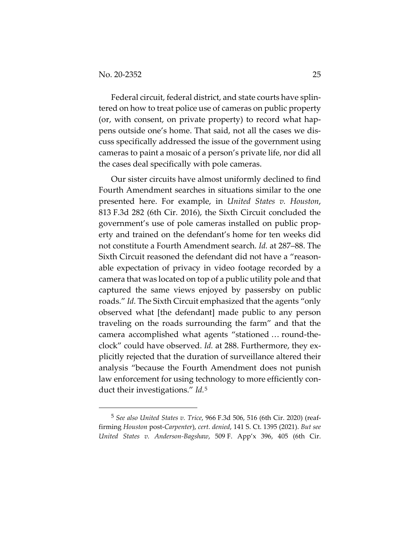Federal circuit, federal district, and state courts have splintered on how to treat police use of cameras on public property (or, with consent, on private property) to record what happens outside one's home. That said, not all the cases we discuss specifically addressed the issue of the government using cameras to paint a mosaic of a person's private life, nor did all the cases deal specifically with pole cameras.

Our sister circuits have almost uniformly declined to find Fourth Amendment searches in situations similar to the one presented here. For example, in *United States v. Houston*, 813 F.3d 282 (6th Cir. 2016), the Sixth Circuit concluded the government's use of pole cameras installed on public property and trained on the defendant's home for ten weeks did not constitute a Fourth Amendment search. *Id.* at 287–88. The Sixth Circuit reasoned the defendant did not have a "reasonable expectation of privacy in video footage recorded by a camera that was located on top of a public utility pole and that captured the same views enjoyed by passersby on public roads." *Id.* The Sixth Circuit emphasized that the agents "only observed what [the defendant] made public to any person traveling on the roads surrounding the farm" and that the camera accomplished what agents "stationed … round-theclock" could have observed. *Id.* at 288. Furthermore, they explicitly rejected that the duration of surveillance altered their analysis "because the Fourth Amendment does not punish law enforcement for using technology to more efficiently conduct their investigations." *Id.*5

<sup>5</sup> *See also United States v. Trice*, 966 F.3d 506, 516 (6th Cir. 2020) (reaffirming *Houston* post-*Carpenter*), *cert. denied*, 141 S. Ct. 1395 (2021). *But see United States v. Anderson-Bagshaw*, 509 F. App'x 396, 405 (6th Cir.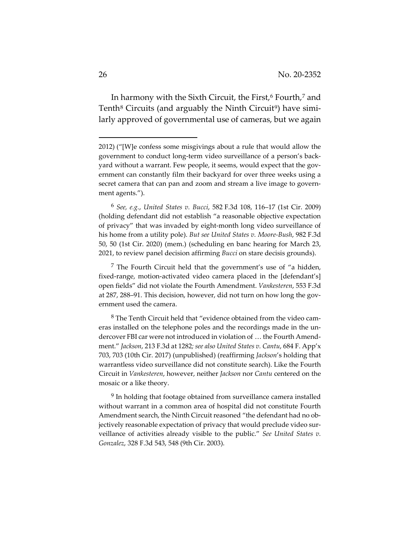In harmony with the Sixth Circuit, the First,<sup>6</sup> Fourth,<sup>7</sup> and Tenth<sup>8</sup> Circuits (and arguably the Ninth Circuit<sup>9</sup>) have similarly approved of governmental use of cameras, but we again

6 *See, e.g.*, *United States v. Bucci*, 582 F.3d 108, 116–17 (1st Cir. 2009) (holding defendant did not establish "a reasonable objective expectation of privacy" that was invaded by eight-month long video surveillance of his home from a utility pole). *But see United States v. Moore-Bush*, 982 F.3d 50, 50 (1st Cir. 2020) (mem.) (scheduling en banc hearing for March 23, 2021, to review panel decision affirming *Bucci* on stare decisis grounds).

7 The Fourth Circuit held that the government's use of "a hidden, fixed-range, motion-activated video camera placed in the [defendant's] open fields" did not violate the Fourth Amendment. *Vankesteren*, 553 F.3d at 287, 288–91. This decision, however, did not turn on how long the government used the camera.

8 The Tenth Circuit held that "evidence obtained from the video cameras installed on the telephone poles and the recordings made in the undercover FBI car were not introduced in violation of … the Fourth Amendment." *Jackson*, 213 F.3d at 1282*; see also United States v. Cantu*, 684 F. App'x 703, 703 (10th Cir. 2017) (unpublished) (reaffirming *Jackson*'s holding that warrantless video surveillance did not constitute search). Like the Fourth Circuit in *Vankesteren*, however, neither *Jackson* nor *Cantu* centered on the mosaic or a like theory.

<sup>9</sup> In holding that footage obtained from surveillance camera installed without warrant in a common area of hospital did not constitute Fourth Amendment search, the Ninth Circuit reasoned "the defendant had no objectively reasonable expectation of privacy that would preclude video surveillance of activities already visible to the public." *See United States v. Gonzalez*, 328 F.3d 543, 548 (9th Cir. 2003).

<sup>2012) (&</sup>quot;[W]e confess some misgivings about a rule that would allow the government to conduct long-term video surveillance of a person's backyard without a warrant. Few people, it seems, would expect that the government can constantly film their backyard for over three weeks using a secret camera that can pan and zoom and stream a live image to government agents.").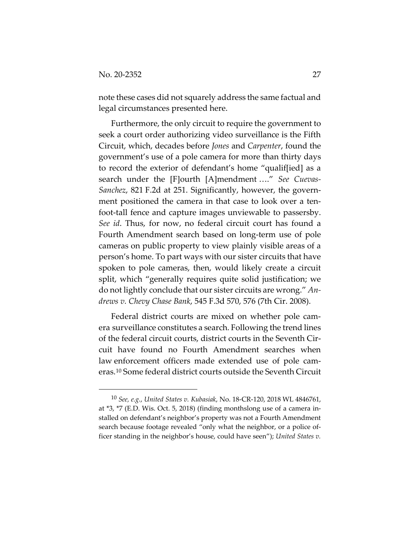note these cases did not squarely address the same factual and legal circumstances presented here.

Furthermore, the only circuit to require the government to seek a court order authorizing video surveillance is the Fifth Circuit, which, decades before *Jones* and *Carpenter*, found the government's use of a pole camera for more than thirty days to record the exterior of defendant's home "qualif[ied] as a search under the [F]ourth [A]mendment …." *See Cuevas-Sanchez*, 821 F.2d at 251. Significantly, however, the government positioned the camera in that case to look over a tenfoot-tall fence and capture images unviewable to passersby. *See id*. Thus, for now, no federal circuit court has found a Fourth Amendment search based on long-term use of pole cameras on public property to view plainly visible areas of a person's home. To part ways with our sister circuits that have spoken to pole cameras, then, would likely create a circuit split, which "generally requires quite solid justification; we do not lightly conclude that our sister circuits are wrong." *Andrews v. Chevy Chase Bank*, 545 F.3d 570, 576 (7th Cir. 2008).

Federal district courts are mixed on whether pole camera surveillance constitutes a search. Following the trend lines of the federal circuit courts, district courts in the Seventh Circuit have found no Fourth Amendment searches when law enforcement officers made extended use of pole cameras.10 Some federal district courts outside the Seventh Circuit

<sup>10</sup> *See, e.g.*, *United States v. Kubasiak*, No. 18-CR-120, 2018 WL 4846761, at \*3, \*7 (E.D. Wis. Oct. 5, 2018) (finding monthslong use of a camera installed on defendant's neighbor's property was not a Fourth Amendment search because footage revealed "only what the neighbor, or a police officer standing in the neighbor's house, could have seen"); *United States v.*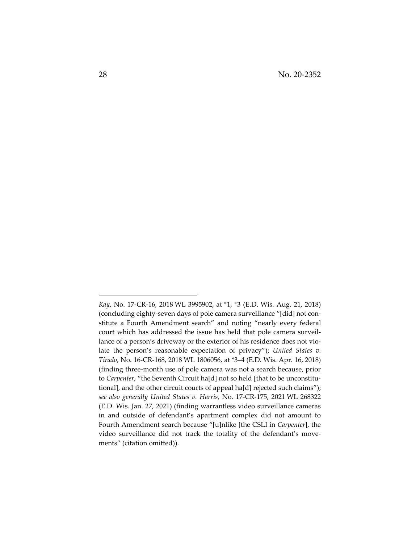*Kay*, No. 17-CR-16, 2018 WL 3995902, at \*1, \*3 (E.D. Wis. Aug. 21, 2018) (concluding eighty-seven days of pole camera surveillance "[did] not constitute a Fourth Amendment search" and noting "nearly every federal court which has addressed the issue has held that pole camera surveillance of a person's driveway or the exterior of his residence does not violate the person's reasonable expectation of privacy"); *United States v. Tirado*, No. 16-CR-168, 2018 WL 1806056, at \*3–4 (E.D. Wis. Apr. 16, 2018) (finding three-month use of pole camera was not a search because, prior to *Carpenter*, "the Seventh Circuit ha[d] not so held [that to be unconstitutional], and the other circuit courts of appeal ha[d] rejected such claims"); *see also generally United States v. Harris*, No. 17-CR-175, 2021 WL 268322 (E.D. Wis. Jan. 27, 2021) (finding warrantless video surveillance cameras in and outside of defendant's apartment complex did not amount to Fourth Amendment search because "[u]nlike [the CSLI in *Carpenter*], the video surveillance did not track the totality of the defendant's movements" (citation omitted)).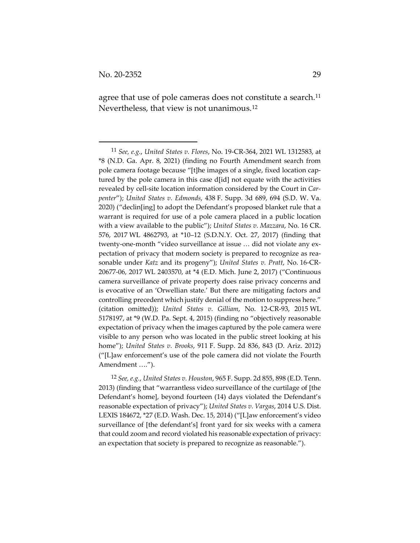agree that use of pole cameras does not constitute a search.<sup>11</sup> Nevertheless, that view is not unanimous.12

12 *See, e.g.*, *United States v. Houston*, 965 F. Supp. 2d 855, 898 (E.D. Tenn. 2013) (finding that "warrantless video surveillance of the curtilage of [the Defendant's home], beyond fourteen (14) days violated the Defendant's reasonable expectation of privacy"); *United States v. Vargas*, 2014 U.S. Dist. LEXIS 184672, \*27 (E.D. Wash. Dec. 15, 2014) ("[L]aw enforcement's video surveillance of [the defendant's] front yard for six weeks with a camera that could zoom and record violated his reasonable expectation of privacy: an expectation that society is prepared to recognize as reasonable.").

<sup>11</sup> *See, e.g.*, *United States v. Flores*, No. 19-CR-364, 2021 WL 1312583, at \*8 (N.D. Ga. Apr. 8, 2021) (finding no Fourth Amendment search from pole camera footage because "[t]he images of a single, fixed location captured by the pole camera in this case d[id] not equate with the activities revealed by cell-site location information considered by the Court in *Carpenter*"); *United States v. Edmonds*, 438 F. Supp. 3d 689, 694 (S.D. W. Va. 2020) ("declin[ing] to adopt the Defendant's proposed blanket rule that a warrant is required for use of a pole camera placed in a public location with a view available to the public"); *United States v. Mazzara*, No. 16 CR. 576, 2017 WL 4862793, at \*10–12 (S.D.N.Y. Oct. 27, 2017) (finding that twenty-one-month "video surveillance at issue … did not violate any expectation of privacy that modern society is prepared to recognize as reasonable under *Katz* and its progeny"); *United States v. Pratt*, No. 16-CR-20677-06, 2017 WL 2403570, at \*4 (E.D. Mich. June 2, 2017) ("Continuous camera surveillance of private property does raise privacy concerns and is evocative of an 'Orwellian state.' But there are mitigating factors and controlling precedent which justify denial of the motion to suppress here." (citation omitted)); *United States v. Gilliam*, No. 12-CR-93, 2015 WL 5178197, at \*9 (W.D. Pa. Sept. 4, 2015) (finding no "objectively reasonable expectation of privacy when the images captured by the pole camera were visible to any person who was located in the public street looking at his home"); *United States v. Brooks*, 911 F. Supp. 2d 836, 843 (D. Ariz. 2012) ("[L]aw enforcement's use of the pole camera did not violate the Fourth Amendment ….").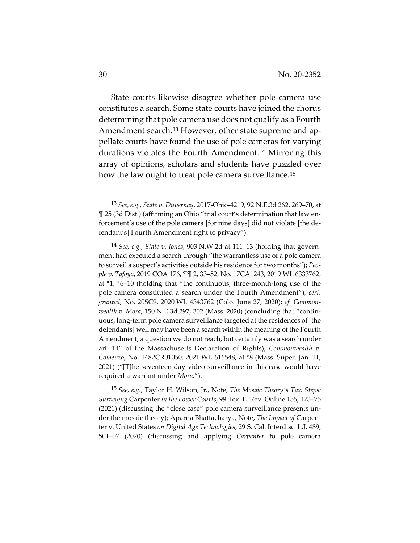State courts likewise disagree whether pole camera use constitutes a search. Some state courts have joined the chorus determining that pole camera use does not qualify as a Fourth Amendment search.<sup>13</sup> However, other state supreme and appellate courts have found the use of pole cameras for varying durations violates the Fourth Amendment.14 Mirroring this array of opinions, scholars and students have puzzled over how the law ought to treat pole camera surveillance.<sup>15</sup>

15 *See, e.g.*, Taylor H. Wilson, Jr., Note, *The Mosaic Theory's Two Steps: Surveying* Carpenter *in the Lower Courts*, 99 Tex. L. Rev. Online 155, 173–75 (2021) (discussing the "close case" pole camera surveillance presents under the mosaic theory); Aparna Bhattacharya, Note, *The Impact of* Carpenter v. United States *on Digital Age Technologies*, 29 S. Cal. Interdisc. L.J. 489, 501–07 (2020) (discussing and applying *Carpenter* to pole camera

<sup>13</sup> *See, e.g.*, *State v. Duvernay*, 2017-Ohio-4219, 92 N.E.3d 262, 269–70, at ¶ 25 (3d Dist.) (affirming an Ohio "trial court's determination that law enforcement's use of the pole camera [for nine days] did not violate [the defendant's] Fourth Amendment right to privacy").

<sup>14</sup> *See, e.g.*, *State v. Jones*, 903 N.W.2d at 111–13 (holding that government had executed a search through "the warrantless use of a pole camera to surveil a suspect's activities outside his residence for two months"); *People v. Tafoya*, 2019 COA 176, ¶¶ 2, 33–52, No. 17CA1243, 2019 WL 6333762, at \*1, \*6–10 (holding that "the continuous, three-month-long use of the pole camera constituted a search under the Fourth Amendment"), *cert. granted*, No. 20SC9, 2020 WL 4343762 (Colo. June 27, 2020); *cf. Commonwealth v. Mora*, 150 N.E.3d 297, 302 (Mass. 2020) (concluding that "continuous, long-term pole camera surveillance targeted at the residences of [the defendants] well may have been a search within the meaning of the Fourth Amendment, a question we do not reach, but certainly was a search under art. 14" of the Massachusetts Declaration of Rights); *Commonwealth v. Comenzo*, No. 1482CR01050, 2021 WL 616548, at \*8 (Mass. Super. Jan. 11, 2021) ("[T]he seventeen-day video surveillance in this case would have required a warrant under *Mora*.").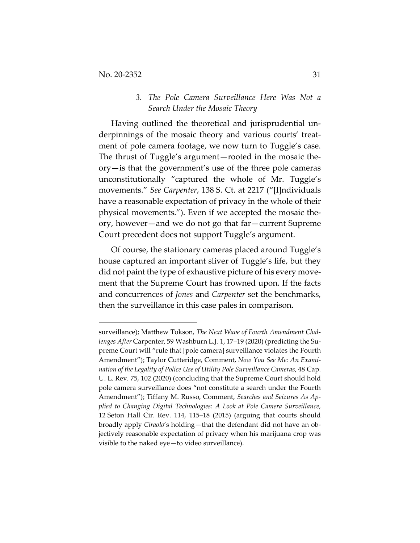# *3. The Pole Camera Surveillance Here Was Not a Search Under the Mosaic Theory*

Having outlined the theoretical and jurisprudential underpinnings of the mosaic theory and various courts' treatment of pole camera footage, we now turn to Tuggle's case. The thrust of Tuggle's argument—rooted in the mosaic theory—is that the government's use of the three pole cameras unconstitutionally "captured the whole of Mr. Tuggle's movements." *See Carpenter*, 138 S. Ct. at 2217 ("[I]ndividuals have a reasonable expectation of privacy in the whole of their physical movements."). Even if we accepted the mosaic theory, however—and we do not go that far—current Supreme Court precedent does not support Tuggle's argument.

Of course, the stationary cameras placed around Tuggle's house captured an important sliver of Tuggle's life, but they did not paint the type of exhaustive picture of his every movement that the Supreme Court has frowned upon. If the facts and concurrences of *Jones* and *Carpenter* set the benchmarks, then the surveillance in this case pales in comparison.

surveillance); Matthew Tokson, *The Next Wave of Fourth Amendment Challenges After* Carpenter, 59 Washburn L.J. 1, 17–19 (2020) (predicting the Supreme Court will "rule that [pole camera] surveillance violates the Fourth Amendment"); Taylor Cutteridge, Comment, *Now You See Me: An Examination of the Legality of Police Use of Utility Pole Surveillance Cameras*, 48 Cap. U. L. Rev. 75, 102 (2020) (concluding that the Supreme Court should hold pole camera surveillance does "not constitute a search under the Fourth Amendment"); Tiffany M. Russo, Comment, *Searches and Seizures As Applied to Changing Digital Technologies: A Look at Pole Camera Surveillance*, 12 Seton Hall Cir. Rev. 114, 115–18 (2015) (arguing that courts should broadly apply *Ciraolo*'s holding—that the defendant did not have an objectively reasonable expectation of privacy when his marijuana crop was visible to the naked eye—to video surveillance).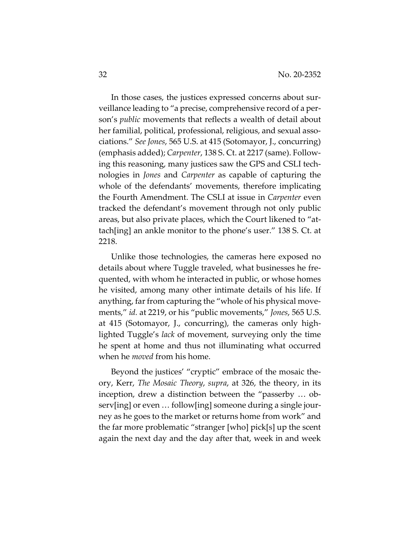In those cases, the justices expressed concerns about surveillance leading to "a precise, comprehensive record of a person's *public* movements that reflects a wealth of detail about her familial, political, professional, religious, and sexual associations." *See Jones*, 565 U.S. at 415 (Sotomayor, J., concurring) (emphasis added); *Carpenter*, 138 S. Ct. at 2217 (same). Following this reasoning, many justices saw the GPS and CSLI technologies in *Jones* and *Carpenter* as capable of capturing the whole of the defendants' movements, therefore implicating the Fourth Amendment. The CSLI at issue in *Carpenter* even tracked the defendant's movement through not only public areas, but also private places, which the Court likened to "attach[ing] an ankle monitor to the phone's user." 138 S. Ct. at 2218.

Unlike those technologies, the cameras here exposed no details about where Tuggle traveled, what businesses he frequented, with whom he interacted in public, or whose homes he visited, among many other intimate details of his life. If anything, far from capturing the "whole of his physical movements," *id.* at 2219, or his "public movements," *Jones*, 565 U.S. at 415 (Sotomayor, J., concurring), the cameras only highlighted Tuggle's *lack* of movement, surveying only the time he spent at home and thus not illuminating what occurred when he *moved* from his home.

Beyond the justices' "cryptic" embrace of the mosaic theory, Kerr, *The Mosaic Theory*, *supra*, at 326, the theory, in its inception, drew a distinction between the "passerby … observ[ing] or even … follow[ing] someone during a single journey as he goes to the market or returns home from work" and the far more problematic "stranger [who] pick[s] up the scent again the next day and the day after that, week in and week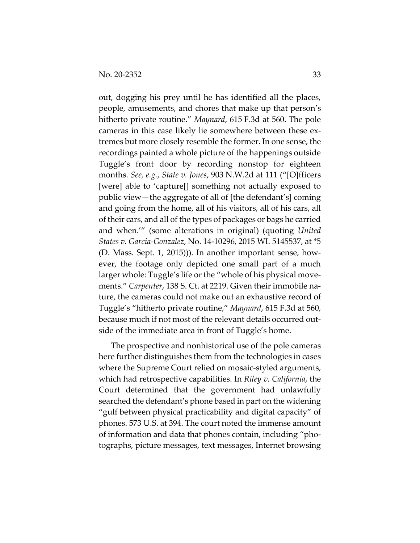out, dogging his prey until he has identified all the places, people, amusements, and chores that make up that person's hitherto private routine." *Maynard*, 615 F.3d at 560. The pole cameras in this case likely lie somewhere between these extremes but more closely resemble the former. In one sense, the recordings painted a whole picture of the happenings outside Tuggle's front door by recording nonstop for eighteen months. *See, e.g.*, *State v. Jones*, 903 N.W.2d at 111 ("[O]fficers [were] able to 'capture[] something not actually exposed to public view—the aggregate of all of [the defendant's] coming and going from the home, all of his visitors, all of his cars, all of their cars, and all of the types of packages or bags he carried and when.'" (some alterations in original) (quoting *United States v. Garcia-Gonzalez*, No. 14-10296, 2015 WL 5145537, at \*5 (D. Mass. Sept. 1, 2015))). In another important sense, however, the footage only depicted one small part of a much larger whole: Tuggle's life or the "whole of his physical movements." *Carpenter*, 138 S. Ct. at 2219. Given their immobile nature, the cameras could not make out an exhaustive record of Tuggle's "hitherto private routine," *Maynard*, 615 F.3d at 560, because much if not most of the relevant details occurred outside of the immediate area in front of Tuggle's home.

The prospective and nonhistorical use of the pole cameras here further distinguishes them from the technologies in cases where the Supreme Court relied on mosaic-styled arguments, which had retrospective capabilities. In *Riley v. California*, the Court determined that the government had unlawfully searched the defendant's phone based in part on the widening "gulf between physical practicability and digital capacity" of phones. 573 U.S. at 394. The court noted the immense amount of information and data that phones contain, including "photographs, picture messages, text messages, Internet browsing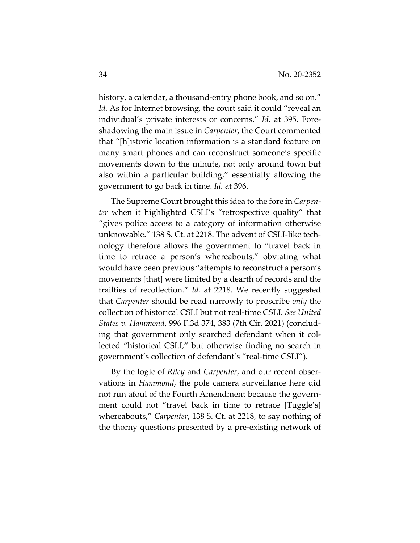history, a calendar, a thousand-entry phone book, and so on." *Id.* As for Internet browsing, the court said it could "reveal an individual's private interests or concerns." *Id.* at 395. Foreshadowing the main issue in *Carpenter*, the Court commented that "[h]istoric location information is a standard feature on many smart phones and can reconstruct someone's specific movements down to the minute, not only around town but also within a particular building," essentially allowing the government to go back in time. *Id.* at 396.

The Supreme Court brought this idea to the fore in *Carpenter* when it highlighted CSLI's "retrospective quality" that "gives police access to a category of information otherwise unknowable." 138 S. Ct. at 2218. The advent of CSLI-like technology therefore allows the government to "travel back in time to retrace a person's whereabouts," obviating what would have been previous "attempts to reconstruct a person's movements [that] were limited by a dearth of records and the frailties of recollection." *Id.* at 2218. We recently suggested that *Carpenter* should be read narrowly to proscribe *only* the collection of historical CSLI but not real-time CSLI. *See United States v. Hammond*, 996 F.3d 374, 383 (7th Cir. 2021) (concluding that government only searched defendant when it collected "historical CSLI," but otherwise finding no search in government's collection of defendant's "real-time CSLI").

By the logic of *Riley* and *Carpenter*, and our recent observations in *Hammond*, the pole camera surveillance here did not run afoul of the Fourth Amendment because the government could not "travel back in time to retrace [Tuggle's] whereabouts," *Carpenter*, 138 S. Ct. at 2218, to say nothing of the thorny questions presented by a pre-existing network of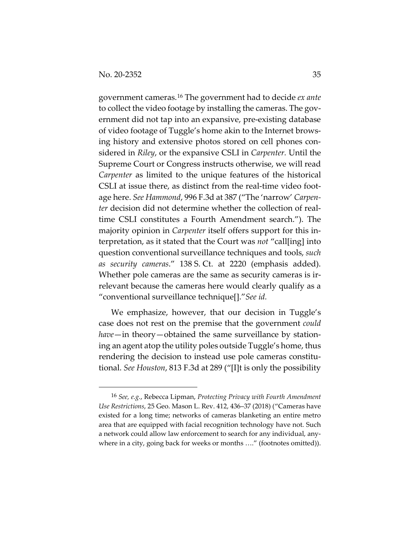government cameras.16 The government had to decide *ex ante*  to collect the video footage by installing the cameras. The government did not tap into an expansive, pre-existing database of video footage of Tuggle's home akin to the Internet browsing history and extensive photos stored on cell phones considered in *Riley*, or the expansive CSLI in *Carpenter.* Until the Supreme Court or Congress instructs otherwise, we will read *Carpenter* as limited to the unique features of the historical CSLI at issue there, as distinct from the real-time video footage here. *See Hammond*, 996 F.3d at 387 ("The 'narrow' *Carpenter* decision did not determine whether the collection of realtime CSLI constitutes a Fourth Amendment search."). The majority opinion in *Carpenter* itself offers support for this interpretation, as it stated that the Court was *not* "call[ing] into question conventional surveillance techniques and tools, *such as security cameras*." 138 S. Ct. at 2220 (emphasis added). Whether pole cameras are the same as security cameras is irrelevant because the cameras here would clearly qualify as a "conventional surveillance technique[]."*See id.* 

We emphasize, however, that our decision in Tuggle's case does not rest on the premise that the government *could have*—in theory—obtained the same surveillance by stationing an agent atop the utility poles outside Tuggle's home, thus rendering the decision to instead use pole cameras constitutional. *See Houston*, 813 F.3d at 289 ("[I]t is only the possibility

<sup>16</sup> *See, e.g.*, Rebecca Lipman, *Protecting Privacy with Fourth Amendment Use Restrictions*, 25 Geo. Mason L. Rev. 412, 436–37 (2018) ("Cameras have existed for a long time; networks of cameras blanketing an entire metro area that are equipped with facial recognition technology have not. Such a network could allow law enforcement to search for any individual, anywhere in a city, going back for weeks or months ...." (footnotes omitted)).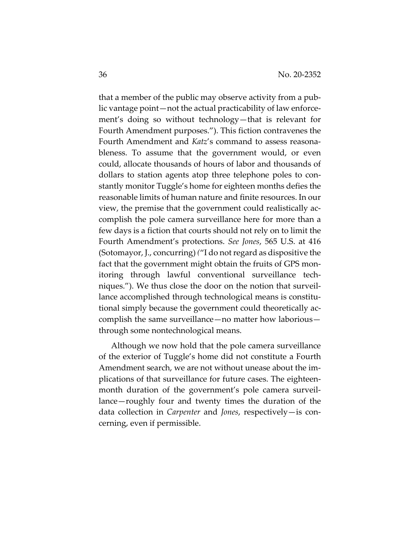that a member of the public may observe activity from a public vantage point—not the actual practicability of law enforcement's doing so without technology—that is relevant for Fourth Amendment purposes."). This fiction contravenes the Fourth Amendment and *Katz*'s command to assess reasonableness. To assume that the government would, or even could, allocate thousands of hours of labor and thousands of dollars to station agents atop three telephone poles to constantly monitor Tuggle's home for eighteen months defies the reasonable limits of human nature and finite resources. In our view, the premise that the government could realistically accomplish the pole camera surveillance here for more than a few days is a fiction that courts should not rely on to limit the Fourth Amendment's protections. *See Jones*, 565 U.S. at 416 (Sotomayor, J., concurring) *(*"I do not regard as dispositive the fact that the government might obtain the fruits of GPS monitoring through lawful conventional surveillance techniques."). We thus close the door on the notion that surveillance accomplished through technological means is constitutional simply because the government could theoretically accomplish the same surveillance—no matter how laborious through some nontechnological means.

Although we now hold that the pole camera surveillance of the exterior of Tuggle's home did not constitute a Fourth Amendment search, we are not without unease about the implications of that surveillance for future cases. The eighteenmonth duration of the government's pole camera surveillance—roughly four and twenty times the duration of the data collection in *Carpenter* and *Jones*, respectively—is concerning, even if permissible.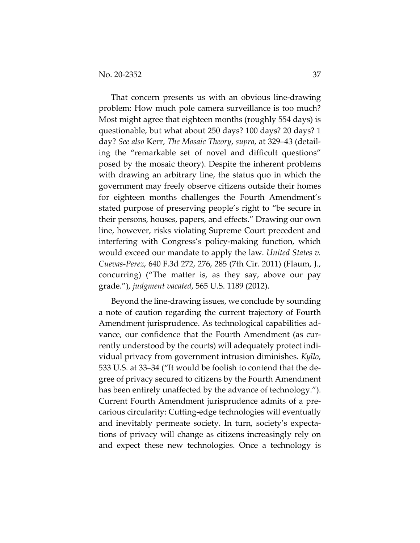That concern presents us with an obvious line-drawing problem: How much pole camera surveillance is too much? Most might agree that eighteen months (roughly 554 days) is questionable, but what about 250 days? 100 days? 20 days? 1 day? *See also* Kerr, *The Mosaic Theory*, *supra*, at 329–43 (detailing the "remarkable set of novel and difficult questions" posed by the mosaic theory). Despite the inherent problems with drawing an arbitrary line, the status quo in which the government may freely observe citizens outside their homes for eighteen months challenges the Fourth Amendment's stated purpose of preserving people's right to "be secure in their persons, houses, papers, and effects." Drawing our own line, however, risks violating Supreme Court precedent and interfering with Congress's policy-making function, which would exceed our mandate to apply the law. *United States v. Cuevas-Perez*, 640 F.3d 272, 276, 285 (7th Cir. 2011) (Flaum, J., concurring) ("The matter is, as they say, above our pay grade."), *judgment vacated*, 565 U.S. 1189 (2012).

Beyond the line-drawing issues, we conclude by sounding a note of caution regarding the current trajectory of Fourth Amendment jurisprudence. As technological capabilities advance, our confidence that the Fourth Amendment (as currently understood by the courts) will adequately protect individual privacy from government intrusion diminishes. *Kyllo*, 533 U.S. at 33–34 ("It would be foolish to contend that the degree of privacy secured to citizens by the Fourth Amendment has been entirely unaffected by the advance of technology."). Current Fourth Amendment jurisprudence admits of a precarious circularity: Cutting-edge technologies will eventually and inevitably permeate society. In turn, society's expectations of privacy will change as citizens increasingly rely on and expect these new technologies. Once a technology is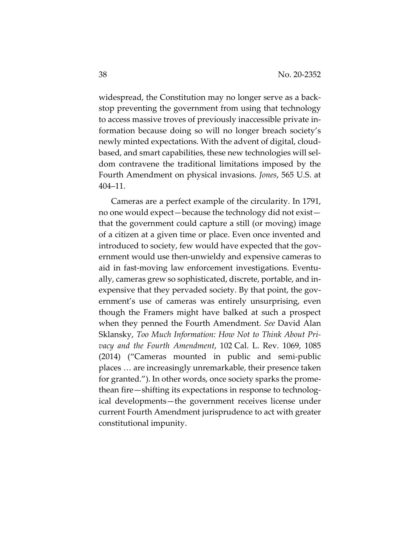widespread, the Constitution may no longer serve as a backstop preventing the government from using that technology to access massive troves of previously inaccessible private information because doing so will no longer breach society's newly minted expectations. With the advent of digital, cloudbased, and smart capabilities, these new technologies will seldom contravene the traditional limitations imposed by the Fourth Amendment on physical invasions. *Jones*, 565 U.S. at 404–11.

Cameras are a perfect example of the circularity. In 1791, no one would expect—because the technology did not exist that the government could capture a still (or moving) image of a citizen at a given time or place. Even once invented and introduced to society, few would have expected that the government would use then-unwieldy and expensive cameras to aid in fast-moving law enforcement investigations. Eventually, cameras grew so sophisticated, discrete, portable, and inexpensive that they pervaded society. By that point, the government's use of cameras was entirely unsurprising, even though the Framers might have balked at such a prospect when they penned the Fourth Amendment. *See* David Alan Sklansky, *Too Much Information: How Not to Think About Privacy and the Fourth Amendment*, 102 Cal. L. Rev. 1069, 1085 (2014) ("Cameras mounted in public and semi-public places … are increasingly unremarkable, their presence taken for granted."). In other words, once society sparks the promethean fire—shifting its expectations in response to technological developments—the government receives license under current Fourth Amendment jurisprudence to act with greater constitutional impunity.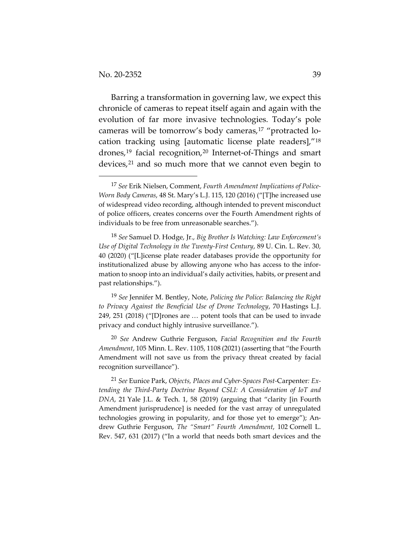Barring a transformation in governing law, we expect this chronicle of cameras to repeat itself again and again with the evolution of far more invasive technologies. Today's pole cameras will be tomorrow's body cameras,17 "protracted location tracking using [automatic license plate readers],"18 drones,19 facial recognition,20 Internet-of-Things and smart devices,<sup>21</sup> and so much more that we cannot even begin to

18 *See* Samuel D. Hodge, Jr., *Big Brother Is Watching: Law Enforcement's Use of Digital Technology in the Twenty-First Century*, 89 U. Cin. L. Rev. 30, 40 (2020) ("[L]icense plate reader databases provide the opportunity for institutionalized abuse by allowing anyone who has access to the information to snoop into an individual's daily activities, habits, or present and past relationships.").

19 *See* Jennifer M. Bentley, Note, *Policing the Police: Balancing the Right to Privacy Against the Beneficial Use of Drone Technology*, 70 Hastings L.J. 249, 251 (2018) ("[D]rones are … potent tools that can be used to invade privacy and conduct highly intrusive surveillance.").

20 *See* Andrew Guthrie Ferguson, *Facial Recognition and the Fourth Amendment*, 105 Minn. L. Rev. 1105, 1108 (2021) (asserting that "the Fourth Amendment will not save us from the privacy threat created by facial recognition surveillance").

21 *See* Eunice Park, *Objects, Places and Cyber-Spaces Post-*Carpenter*: Extending the Third-Party Doctrine Beyond CSLI: A Consideration of IoT and DNA*, 21 Yale J.L. & Tech. 1, 58 (2019) (arguing that "clarity [in Fourth Amendment jurisprudence] is needed for the vast array of unregulated technologies growing in popularity, and for those yet to emerge"); Andrew Guthrie Ferguson, *The "Smart" Fourth Amendment*, 102 Cornell L. Rev. 547, 631 (2017) ("In a world that needs both smart devices and the

<sup>17</sup> *See* Erik Nielsen, Comment, *Fourth Amendment Implications of Police-Worn Body Cameras*, 48 St. Mary's L.J. 115, 120 (2016) ("[T]he increased use of widespread video recording, although intended to prevent misconduct of police officers, creates concerns over the Fourth Amendment rights of individuals to be free from unreasonable searches.").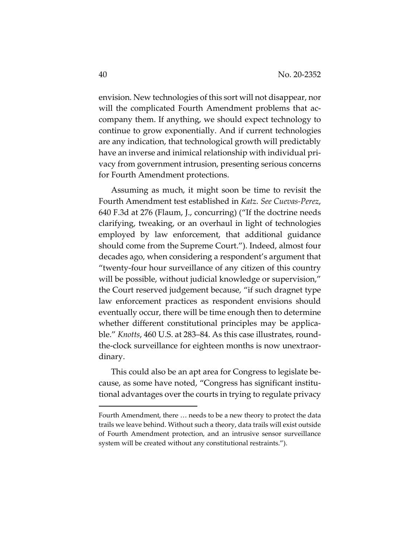envision. New technologies of this sort will not disappear, nor will the complicated Fourth Amendment problems that accompany them. If anything, we should expect technology to continue to grow exponentially. And if current technologies are any indication, that technological growth will predictably have an inverse and inimical relationship with individual privacy from government intrusion, presenting serious concerns for Fourth Amendment protections.

Assuming as much, it might soon be time to revisit the Fourth Amendment test established in *Katz*. *See Cuevas-Perez*, 640 F.3d at 276 (Flaum, J., concurring) ("If the doctrine needs clarifying, tweaking, or an overhaul in light of technologies employed by law enforcement, that additional guidance should come from the Supreme Court."). Indeed, almost four decades ago, when considering a respondent's argument that "twenty-four hour surveillance of any citizen of this country will be possible, without judicial knowledge or supervision," the Court reserved judgement because, "if such dragnet type law enforcement practices as respondent envisions should eventually occur, there will be time enough then to determine whether different constitutional principles may be applicable." *Knotts*, 460 U.S. at 283–84. As this case illustrates, roundthe-clock surveillance for eighteen months is now unextraordinary.

This could also be an apt area for Congress to legislate because, as some have noted, "Congress has significant institutional advantages over the courts in trying to regulate privacy

Fourth Amendment, there … needs to be a new theory to protect the data trails we leave behind. Without such a theory, data trails will exist outside of Fourth Amendment protection, and an intrusive sensor surveillance system will be created without any constitutional restraints.").